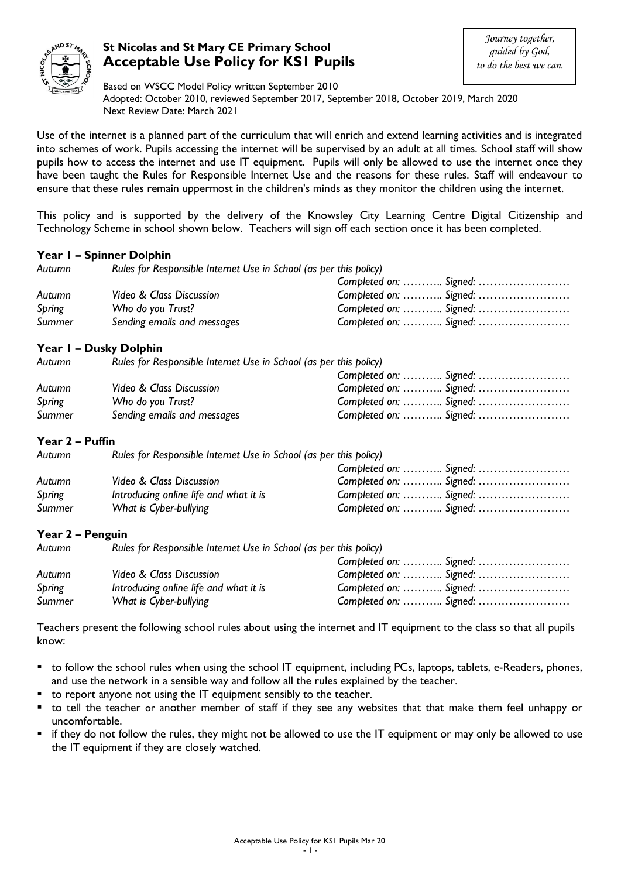

# **St Nicolas and St Mary CE Primary School Acceptable Use Policy for KS1 Pupils**

Based on WSCC Model Policy written September 2010 Adopted: October 2010, reviewed September 2017, September 2018, October 2019, March 2020 Next Review Date: March 2021

Use of the internet is a planned part of the curriculum that will enrich and extend learning activities and is integrated into schemes of work. Pupils accessing the internet will be supervised by an adult at all times. School staff will show pupils how to access the internet and use IT equipment. Pupils will only be allowed to use the internet once they have been taught the Rules for Responsible Internet Use and the reasons for these rules. Staff will endeavour to ensure that these rules remain uppermost in the children's minds as they monitor the children using the internet.

This policy and is supported by the delivery of the Knowsley City Learning Centre Digital Citizenship and Technology Scheme in school shown below. Teachers will sign off each section once it has been completed.

### **Year 1 – Spinner Dolphin**

*Autumn Rules for Responsible Internet Use in School (as per this policy)*

|        |                             | Completed on:  Signed: |  |
|--------|-----------------------------|------------------------|--|
| Autumn | Video & Class Discussion    | Completed on:  Signed: |  |
| Spring | Who do you Trust?           | Completed on:  Signed: |  |
| Summer | Sending emails and messages | Completed on:  Signed: |  |
|        |                             |                        |  |

### **Year 1 – Dusky Dolphin**

*Autumn Rules for Responsible Internet Use in School (as per this policy)*

|        |                             | Completed on:  Signed: |  |
|--------|-----------------------------|------------------------|--|
| Autumn | Video & Class Discussion    | Completed on:  Signed: |  |
| Spring | Who do you Trust?           | Completed on:  Signed: |  |
| Summer | Sending emails and messages | Completed on:  Signed: |  |

#### **Year 2 – Puffin**

| Autumn | Rules for Responsible Internet Use in School (as per this policy) |                        |  |
|--------|-------------------------------------------------------------------|------------------------|--|
|        |                                                                   | Completed on:  Signed: |  |
| Autumn | Video & Class Discussion                                          | Completed on:  Signed: |  |
| Spring | Introducing online life and what it is                            | Completed on:  Signed: |  |
| Summer | What is Cyber-bullying                                            | Completed on:  Signed: |  |

#### **Year 2 – Penguin**

| Autumn | Rules for Responsible Internet Use in School (as per this policy) |                        |
|--------|-------------------------------------------------------------------|------------------------|
|        |                                                                   | Completed on:  Signed: |
| Autumn | Video & Class Discussion                                          | Completed on:  Signed: |
| Spring | Introducing online life and what it is                            | Completed on:  Signed: |
| Summer | What is Cyber-bullying                                            | Completed on:  Signed: |

Teachers present the following school rules about using the internet and IT equipment to the class so that all pupils know:

- to follow the school rules when using the school IT equipment, including PCs, laptops, tablets, e-Readers, phones, and use the network in a sensible way and follow all the rules explained by the teacher.
- to report anyone not using the IT equipment sensibly to the teacher.
- to tell the teacher or another member of staff if they see any websites that that make them feel unhappy or uncomfortable.
- if they do not follow the rules, they might not be allowed to use the IT equipment or may only be allowed to use the IT equipment if they are closely watched.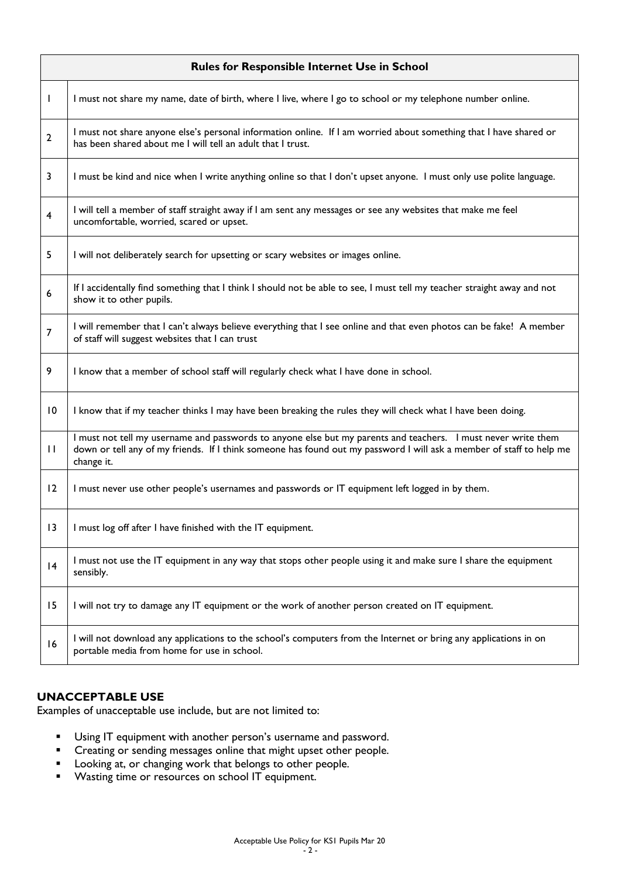| <b>Rules for Responsible Internet Use in School</b> |                                                                                                                                                                                                                                                     |
|-----------------------------------------------------|-----------------------------------------------------------------------------------------------------------------------------------------------------------------------------------------------------------------------------------------------------|
| $\mathbf{I}$                                        | I must not share my name, date of birth, where I live, where I go to school or my telephone number online.                                                                                                                                          |
| 2                                                   | I must not share anyone else's personal information online. If I am worried about something that I have shared or<br>has been shared about me I will tell an adult that I trust.                                                                    |
| 3                                                   | I must be kind and nice when I write anything online so that I don't upset anyone. I must only use polite language.                                                                                                                                 |
| $\overline{\mathbf{4}}$                             | I will tell a member of staff straight away if I am sent any messages or see any websites that make me feel<br>uncomfortable, worried, scared or upset.                                                                                             |
| 5                                                   | I will not deliberately search for upsetting or scary websites or images online.                                                                                                                                                                    |
| 6                                                   | If I accidentally find something that I think I should not be able to see, I must tell my teacher straight away and not<br>show it to other pupils.                                                                                                 |
| 7                                                   | I will remember that I can't always believe everything that I see online and that even photos can be fake! A member<br>of staff will suggest websites that I can trust                                                                              |
| 9                                                   | I know that a member of school staff will regularly check what I have done in school.                                                                                                                                                               |
| 10                                                  | I know that if my teacher thinks I may have been breaking the rules they will check what I have been doing.                                                                                                                                         |
| $\mathbf{H}$                                        | I must not tell my username and passwords to anyone else but my parents and teachers. I must never write them<br>down or tell any of my friends. If I think someone has found out my password I will ask a member of staff to help me<br>change it. |
| 12                                                  | I must never use other people's usernames and passwords or IT equipment left logged in by them.                                                                                                                                                     |
| 13                                                  | I must log off after I have finished with the IT equipment.                                                                                                                                                                                         |
| 4                                                   | I must not use the IT equipment in any way that stops other people using it and make sure I share the equipment<br>sensibly.                                                                                                                        |
| 15                                                  | I will not try to damage any IT equipment or the work of another person created on IT equipment.                                                                                                                                                    |
| 16                                                  | I will not download any applications to the school's computers from the Internet or bring any applications in on<br>portable media from home for use in school.                                                                                     |

# **UNACCEPTABLE USE**

Examples of unacceptable use include, but are not limited to:

- **Using IT equipment with another person's username and password.**
- **•** Creating or sending messages online that might upset other people.
- Looking at, or changing work that belongs to other people.
- **Wasting time or resources on school IT equipment.**